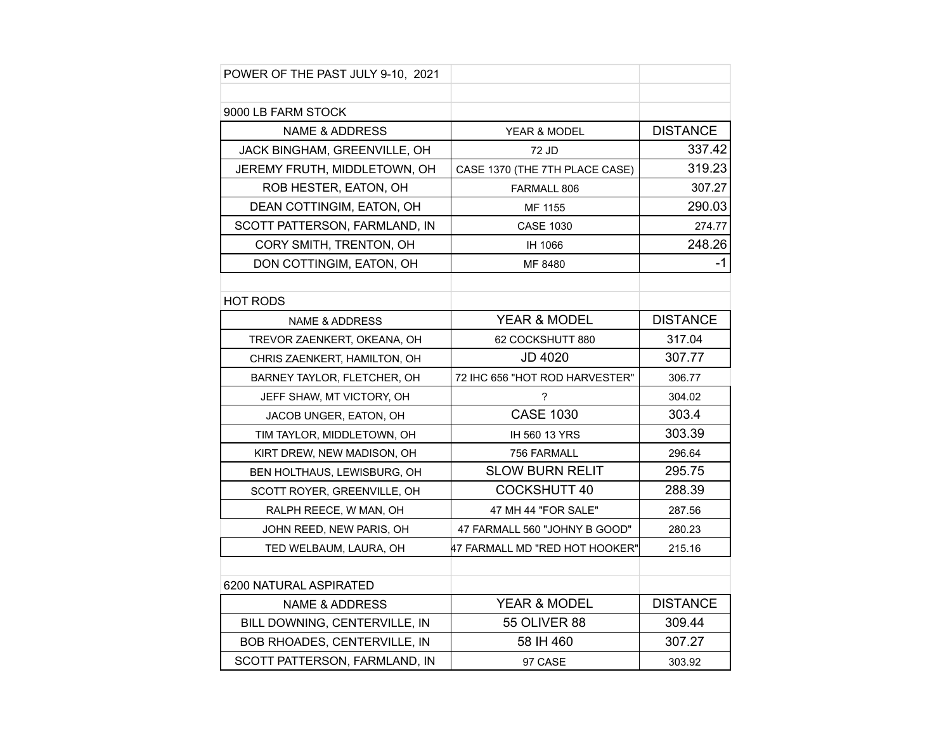| POWER OF THE PAST JULY 9-10, 2021 |                                |                 |
|-----------------------------------|--------------------------------|-----------------|
|                                   |                                |                 |
| 9000 LB FARM STOCK                |                                |                 |
| <b>NAME &amp; ADDRESS</b>         | YEAR & MODEL                   | <b>DISTANCE</b> |
| JACK BINGHAM, GREENVILLE, OH      | 72 JD                          | 337.42          |
| JEREMY FRUTH, MIDDLETOWN, OH      | CASE 1370 (THE 7TH PLACE CASE) | 319.23          |
| ROB HESTER, EATON, OH             | FARMALL 806                    | 307.27          |
| DEAN COTTINGIM, EATON, OH         | MF 1155                        | 290.03          |
| SCOTT PATTERSON, FARMLAND, IN     | <b>CASE 1030</b>               | 274.77          |
| CORY SMITH, TRENTON, OH           | IH 1066                        | 248.26          |
| DON COTTINGIM, EATON, OH          | MF 8480                        | $-1$            |
|                                   |                                |                 |
| <b>HOT RODS</b>                   |                                |                 |
| <b>NAME &amp; ADDRESS</b>         | YEAR & MODEL                   | <b>DISTANCE</b> |
| TREVOR ZAENKERT, OKEANA, OH       | 62 COCKSHUTT 880               | 317.04          |
| CHRIS ZAENKERT, HAMILTON, OH      | <b>JD 4020</b>                 | 307.77          |
| BARNEY TAYLOR, FLETCHER, OH       | 72 IHC 656 "HOT ROD HARVESTER" | 306.77          |
| JEFF SHAW, MT VICTORY, OH         | ?                              | 304.02          |
| JACOB UNGER, EATON, OH            | <b>CASE 1030</b>               | 303.4           |
| TIM TAYLOR, MIDDLETOWN, OH        | IH 560 13 YRS                  | 303.39          |
| KIRT DREW, NEW MADISON, OH        | 756 FARMALL                    | 296.64          |
| BEN HOLTHAUS, LEWISBURG, OH       | <b>SLOW BURN RELIT</b>         | 295.75          |
| SCOTT ROYER, GREENVILLE, OH       | <b>COCKSHUTT 40</b>            | 288.39          |
| RALPH REECE, W MAN, OH            | 47 MH 44 "FOR SALE"            | 287.56          |
| JOHN REED, NEW PARIS, OH          | 47 FARMALL 560 "JOHNY B GOOD"  | 280.23          |
| TED WELBAUM, LAURA, OH            | 47 FARMALL MD "RED HOT HOOKER" | 215.16          |
|                                   |                                |                 |
| 6200 NATURAL ASPIRATED            |                                |                 |
| <b>NAME &amp; ADDRESS</b>         | YEAR & MODEL                   | <b>DISTANCE</b> |
| BILL DOWNING, CENTERVILLE, IN     | <b>55 OLIVER 88</b>            | 309.44          |
| BOB RHOADES, CENTERVILLE, IN      | 58 IH 460                      | 307.27          |
| SCOTT PATTERSON, FARMLAND, IN     | 97 CASE                        | 303.92          |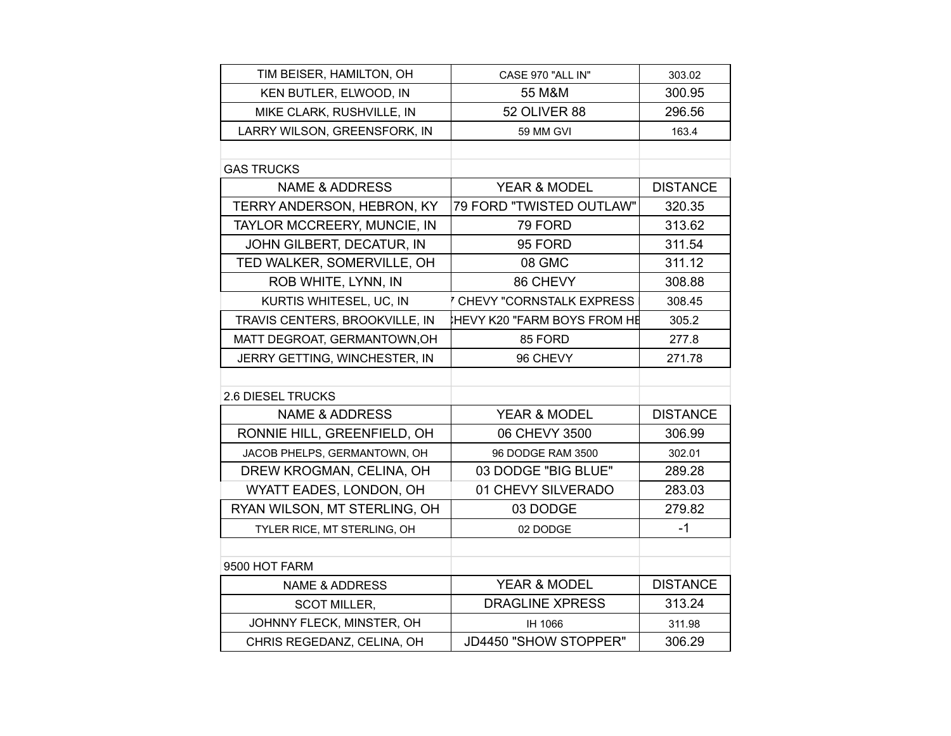| TIM BEISER, HAMILTON, OH          | CASE 970 "ALL IN"                | 303.02          |
|-----------------------------------|----------------------------------|-----------------|
| KEN BUTLER, ELWOOD, IN            | 55 M&M                           | 300.95          |
| MIKE CLARK, RUSHVILLE, IN         | 52 OLIVER 88                     | 296.56          |
| LARRY WILSON, GREENSFORK, IN      | 59 MM GVI                        | 163.4           |
|                                   |                                  |                 |
| <b>GAS TRUCKS</b>                 |                                  |                 |
| <b>NAME &amp; ADDRESS</b>         | YEAR & MODEL                     | <b>DISTANCE</b> |
| <b>TERRY ANDERSON, HEBRON, KY</b> | 79 FORD "TWISTED OUTLAW"         | 320.35          |
| TAYLOR MCCREERY, MUNCIE, IN       | 79 FORD                          | 313.62          |
| JOHN GILBERT, DECATUR, IN         | 95 FORD                          | 311.54          |
| TED WALKER, SOMERVILLE, OH        | 08 GMC                           | 311.12          |
| ROB WHITE, LYNN, IN               | 86 CHEVY                         | 308.88          |
| KURTIS WHITESEL, UC, IN           | <b>CHEVY "CORNSTALK EXPRESS"</b> | 308.45          |
| TRAVIS CENTERS, BROOKVILLE, IN    | HEVY K20 "FARM BOYS FROM HЁ      | 305.2           |
| MATT DEGROAT, GERMANTOWN, OH      | 85 FORD                          | 277.8           |
| JERRY GETTING, WINCHESTER, IN     | 96 CHEVY                         | 271.78          |
|                                   |                                  |                 |
| <b>2.6 DIESEL TRUCKS</b>          |                                  |                 |
| <b>NAME &amp; ADDRESS</b>         | YEAR & MODEL                     | <b>DISTANCE</b> |
| RONNIE HILL, GREENFIELD, OH       | 06 CHEVY 3500                    | 306.99          |
| JACOB PHELPS, GERMANTOWN, OH      | 96 DODGE RAM 3500                | 302.01          |
| DREW KROGMAN, CELINA, OH          | 03 DODGE "BIG BLUE"              | 289.28          |
| WYATT EADES, LONDON, OH           | 01 CHEVY SILVERADO               | 283.03          |
| RYAN WILSON, MT STERLING, OH      | 03 DODGE                         | 279.82          |
| TYLER RICE, MT STERLING, OH       | 02 DODGE                         | $-1$            |
|                                   |                                  |                 |
| 9500 HOT FARM                     |                                  |                 |
| <b>NAME &amp; ADDRESS</b>         | YEAR & MODEL                     | <b>DISTANCE</b> |
| <b>SCOT MILLER,</b>               | <b>DRAGLINE XPRESS</b>           | 313.24          |
| JOHNNY FLECK, MINSTER, OH         | IH 1066                          | 311.98          |
| CHRIS REGEDANZ, CELINA, OH        | JD4450 "SHOW STOPPER"            | 306.29          |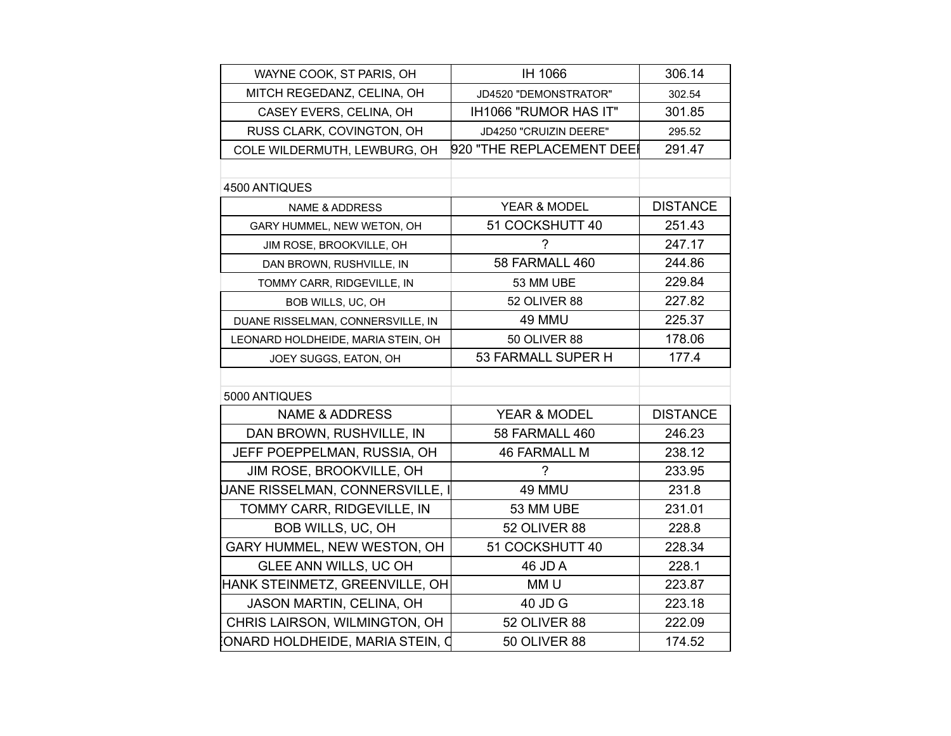| WAYNE COOK, ST PARIS, OH           | IH 1066                   | 306.14          |
|------------------------------------|---------------------------|-----------------|
| MITCH REGEDANZ, CELINA, OH         | JD4520 "DEMONSTRATOR"     | 302.54          |
| CASEY EVERS, CELINA, OH            | IH1066 "RUMOR HAS IT"     | 301.85          |
| RUSS CLARK, COVINGTON, OH          | JD4250 "CRUIZIN DEERE"    | 295.52          |
| COLE WILDERMUTH, LEWBURG, OH       | 920 "THE REPLACEMENT DEE! | 291.47          |
|                                    |                           |                 |
| 4500 ANTIQUES                      |                           |                 |
| <b>NAME &amp; ADDRESS</b>          | YEAR & MODEL              | <b>DISTANCE</b> |
| GARY HUMMEL, NEW WETON, OH         | 51 COCKSHUTT 40           | 251.43          |
| JIM ROSE, BROOKVILLE, OH           | 7                         | 247.17          |
| DAN BROWN, RUSHVILLE, IN           | 58 FARMALL 460            | 244.86          |
| TOMMY CARR, RIDGEVILLE, IN         | 53 MM UBE                 | 229.84          |
| BOB WILLS, UC, OH                  | 52 OLIVER 88              | 227.82          |
| DUANE RISSELMAN, CONNERSVILLE, IN  | 49 MMU                    | 225.37          |
| LEONARD HOLDHEIDE, MARIA STEIN, OH | <b>50 OLIVER 88</b>       | 178.06          |
| JOEY SUGGS, EATON, OH              | 53 FARMALL SUPER H        | 177.4           |
|                                    |                           |                 |
| 5000 ANTIQUES                      |                           |                 |
| <b>NAME &amp; ADDRESS</b>          | <b>YEAR &amp; MODEL</b>   | <b>DISTANCE</b> |
| DAN BROWN, RUSHVILLE, IN           | 58 FARMALL 460            | 246.23          |
| JEFF POEPPELMAN, RUSSIA, OH        | <b>46 FARMALL M</b>       | 238.12          |
| JIM ROSE, BROOKVILLE, OH           | ?                         | 233.95          |
| UANE RISSELMAN, CONNERSVILLE, I    | 49 MMU                    | 231.8           |
| TOMMY CARR, RIDGEVILLE, IN         | 53 MM UBE                 | 231.01          |
| BOB WILLS, UC, OH                  | 52 OLIVER 88              | 228.8           |
| GARY HUMMEL, NEW WESTON, OH        | 51 COCKSHUTT 40           | 228.34          |
| GLEE ANN WILLS, UC OH              | 46 JD A                   | 228.1           |
| HANK STEINMETZ, GREENVILLE, OH     | MM <sub>U</sub>           | 223.87          |
| JASON MARTIN, CELINA, OH           | 40 JD G                   | 223.18          |
| CHRIS LAIRSON, WILMINGTON, OH      | 52 OLIVER 88              | 222.09          |
| ONARD HOLDHEIDE, MARIA STEIN, Q    | <b>50 OLIVER 88</b>       | 174.52          |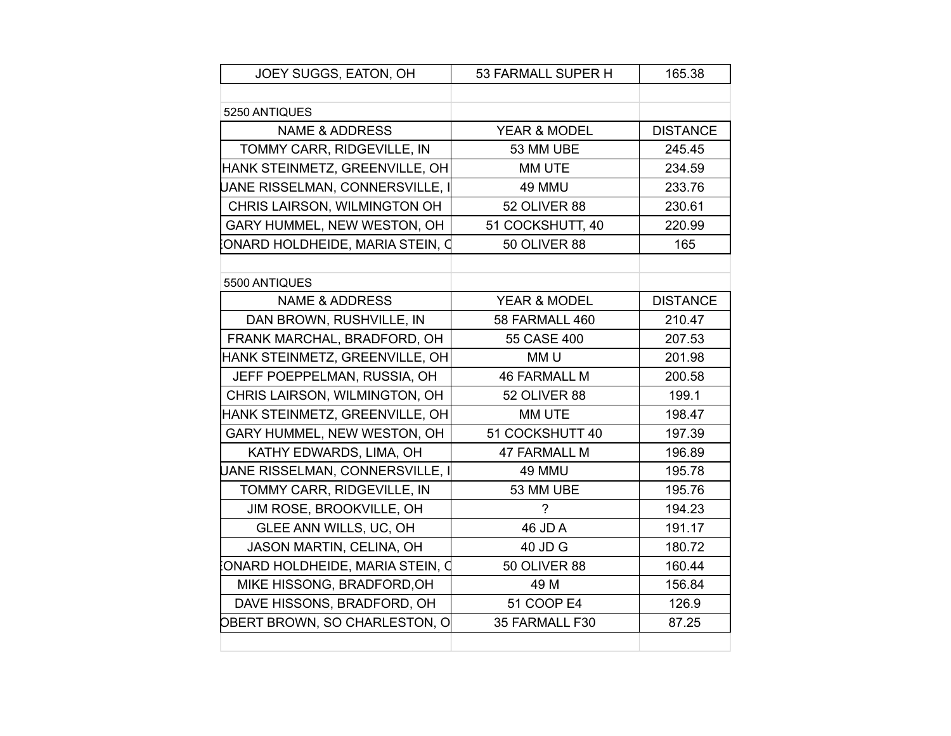| JOEY SUGGS, EATON, OH           | 53 FARMALL SUPER H      | 165.38          |
|---------------------------------|-------------------------|-----------------|
|                                 |                         |                 |
| 5250 ANTIQUES                   |                         |                 |
| <b>NAME &amp; ADDRESS</b>       | <b>YEAR &amp; MODEL</b> | <b>DISTANCE</b> |
| TOMMY CARR, RIDGEVILLE, IN      | 53 MM UBE               | 245.45          |
| HANK STEINMETZ, GREENVILLE, OH  | MM UTE                  | 234.59          |
| UANE RISSELMAN, CONNERSVILLE, I | 49 MMU                  | 233.76          |
| CHRIS LAIRSON, WILMINGTON OH    | 52 OLIVER 88            | 230.61          |
| GARY HUMMEL, NEW WESTON, OH     | 51 COCKSHUTT, 40        | 220.99          |
| ONARD HOLDHEIDE, MARIA STEIN, Q | <b>50 OLIVER 88</b>     | 165             |
|                                 |                         |                 |
| 5500 ANTIQUES                   |                         |                 |
| <b>NAME &amp; ADDRESS</b>       | YEAR & MODEL            | <b>DISTANCE</b> |
| DAN BROWN, RUSHVILLE, IN        | 58 FARMALL 460          | 210.47          |
| FRANK MARCHAL, BRADFORD, OH     | 55 CASE 400             | 207.53          |
| HANK STEINMETZ, GREENVILLE, OH  | MM <sub>U</sub>         | 201.98          |
| JEFF POEPPELMAN, RUSSIA, OH     | <b>46 FARMALL M</b>     | 200.58          |
| CHRIS LAIRSON, WILMINGTON, OH   | 52 OLIVER 88            | 199.1           |
| HANK STEINMETZ, GREENVILLE, OH  | MM UTE                  | 198.47          |
| GARY HUMMEL, NEW WESTON, OH     | 51 COCKSHUTT 40         | 197.39          |
| KATHY EDWARDS, LIMA, OH         | <b>47 FARMALL M</b>     | 196.89          |
| UANE RISSELMAN, CONNERSVILLE, I | 49 MMU                  | 195.78          |
| TOMMY CARR, RIDGEVILLE, IN      | 53 MM UBE               | 195.76          |
| JIM ROSE, BROOKVILLE, OH        | 7                       | 194.23          |
| GLEE ANN WILLS, UC, OH          | 46 JD A                 | 191.17          |
| JASON MARTIN, CELINA, OH        | 40 JD G                 | 180.72          |
| ONARD HOLDHEIDE, MARIA STEIN, Q | <b>50 OLIVER 88</b>     | 160.44          |
| MIKE HISSONG, BRADFORD, OH      | 49 M                    | 156.84          |
| DAVE HISSONS, BRADFORD, OH      | 51 COOP E4              | 126.9           |
| OBERT BROWN, SO CHARLESTON, O   | 35 FARMALL F30          | 87.25           |
|                                 |                         |                 |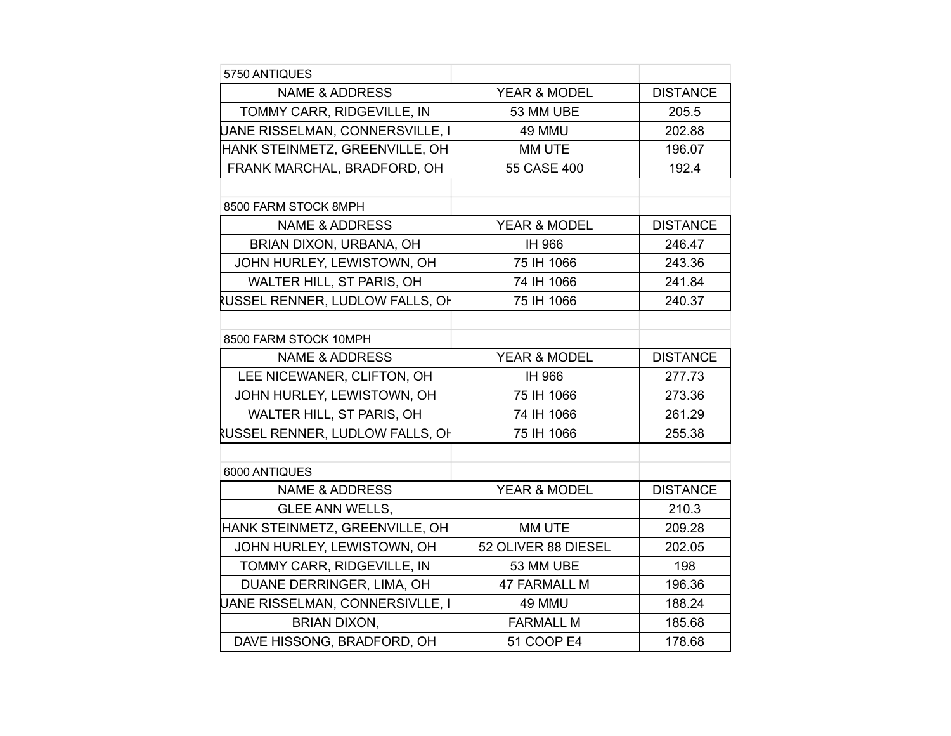| 5750 ANTIQUES                   |                     |                 |
|---------------------------------|---------------------|-----------------|
| <b>NAME &amp; ADDRESS</b>       | YEAR & MODEL        | <b>DISTANCE</b> |
| TOMMY CARR, RIDGEVILLE, IN      | 53 MM UBE           | 205.5           |
| UANE RISSELMAN, CONNERSVILLE, I | 49 MMU              | 202.88          |
| HANK STEINMETZ, GREENVILLE, OH  | MM UTE              | 196.07          |
| FRANK MARCHAL, BRADFORD, OH     | 55 CASE 400         | 192.4           |
|                                 |                     |                 |
| 8500 FARM STOCK 8MPH            |                     |                 |
| <b>NAME &amp; ADDRESS</b>       | YEAR & MODEL        | <b>DISTANCE</b> |
| BRIAN DIXON, URBANA, OH         | IH 966              | 246.47          |
| JOHN HURLEY, LEWISTOWN, OH      | 75 IH 1066          | 243.36          |
| WALTER HILL, ST PARIS, OH       | 74 IH 1066          | 241.84          |
| RUSSEL RENNER, LUDLOW FALLS, OH | 75 IH 1066          | 240.37          |
|                                 |                     |                 |
| 8500 FARM STOCK 10MPH           |                     |                 |
| <b>NAME &amp; ADDRESS</b>       | YEAR & MODEL        | <b>DISTANCE</b> |
| LEE NICEWANER, CLIFTON, OH      | IH 966              | 277.73          |
| JOHN HURLEY, LEWISTOWN, OH      | 75 IH 1066          | 273.36          |
| WALTER HILL, ST PARIS, OH       | 74 IH 1066          | 261.29          |
| RUSSEL RENNER, LUDLOW FALLS, OH | 75 IH 1066          | 255.38          |
|                                 |                     |                 |
| 6000 ANTIQUES                   |                     |                 |
| <b>NAME &amp; ADDRESS</b>       | YEAR & MODEL        | <b>DISTANCE</b> |
| <b>GLEE ANN WELLS,</b>          |                     | 210.3           |
| HANK STEINMETZ, GREENVILLE, OH  | MM UTE              | 209.28          |
| JOHN HURLEY, LEWISTOWN, OH      | 52 OLIVER 88 DIESEL | 202.05          |
| TOMMY CARR, RIDGEVILLE, IN      | 53 MM UBE           | 198             |
| DUANE DERRINGER, LIMA, OH       | <b>47 FARMALL M</b> | 196.36          |
| JANE RISSELMAN, CONNERSIVLLE, I | 49 MMU              | 188.24          |
| <b>BRIAN DIXON,</b>             | <b>FARMALL M</b>    | 185.68          |
| DAVE HISSONG, BRADFORD, OH      | <b>51 COOP E4</b>   | 178.68          |